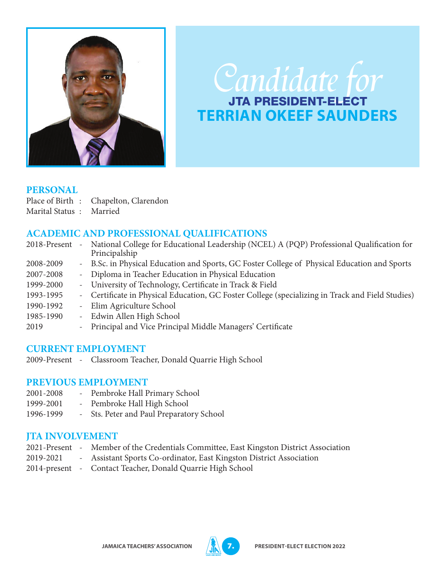

# Candidate for **TERRIAN OKEEF SAUNDERS**

#### **PERSONAL**

- Place of Birth : Chapelton, Clarendon
- Marital Status : Married

## **ACADEMIC AND PROFESSIONAL QUALIFICATIONS**

| 2018-Present | $\overline{\phantom{a}}$ | National College for Educational Leadership (NCEL) A (PQP) Professional Qualification for<br>Principalship |
|--------------|--------------------------|------------------------------------------------------------------------------------------------------------|
| 2008-2009    |                          | - B.Sc. in Physical Education and Sports, GC Foster College of Physical Education and Sports               |
| 2007-2008    |                          | - Diploma in Teacher Education in Physical Education                                                       |
| 1999-2000    |                          | - University of Technology, Certificate in Track & Field                                                   |
| 1993-1995    |                          | - Certificate in Physical Education, GC Foster College (specializing in Track and Field Studies)           |
| 1990-1992    | $\sim$                   | Elim Agriculture School                                                                                    |
| 1985-1990    | $\sim$                   | Edwin Allen High School                                                                                    |
| 2019         | $\sim$                   | Principal and Vice Principal Middle Managers' Certificate                                                  |
|              |                          |                                                                                                            |

#### **CURRENT EMPLOYMENT**

2009-Present - Classroom Teacher, Donald Quarrie High School

## **PREVIOUS EMPLOYMENT**

- 2001-2008 Pembroke Hall Primary School
- 1999-2001 Pembroke Hall High School
- 1996-1999 Sts. Peter and Paul Preparatory School

## **JTA INVOLVEMENT**

- 2021-Present Member of the Credentials Committee, East Kingston District Association
- 2019-2021 Assistant Sports Co-ordinator, East Kingston District Association
- 2014-present Contact Teacher, Donald Quarrie High School